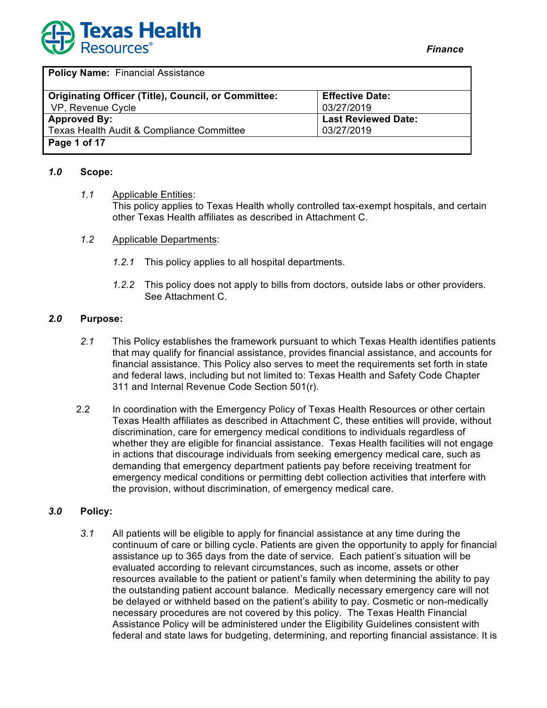

| <b>Originating Officer (Title), Council, or Committee:</b> | <b>Effective Date:</b>     |
|------------------------------------------------------------|----------------------------|
| VP, Revenue Cycle                                          | 03/27/2019                 |
| <b>Approved By:</b>                                        | <b>Last Reviewed Date:</b> |
| Texas Health Audit & Compliance Committee                  | 03/27/2019                 |
| Page 1 of 17                                               |                            |

#### *1.0* **Scope:**

- *1.1* Applicable Entities: This policy applies to Texas Health wholly controlled tax-exempt hospitals, and certain other Texas Health affiliates as described in Attachment C.
- *1.2* Applicable Departments:
	- *1.2.1* This policy applies to all hospital departments.
	- *1.2.2* This policy does not apply to bills from doctors, outside labs or other providers. See Attachment C.

## *2.0* **Purpose:**

- *2.1* This Policy establishes the framework pursuant to which Texas Health identifies patients that may qualify for financial assistance, provides financial assistance, and accounts for financial assistance. This Policy also serves to meet the requirements set forth in state and federal laws, including but not limited to: Texas Health and Safety Code Chapter 311 and Internal Revenue Code Section 501(r).
- 2.2 In coordination with the Emergency Policy of Texas Health Resources or other certain Texas Health affiliates as described in Attachment C, these entities will provide, without discrimination, care for emergency medical conditions to individuals regardless of whether they are eligible for financial assistance. Texas Health facilities will not engage in actions that discourage individuals from seeking emergency medical care, such as demanding that emergency department patients pay before receiving treatment for emergency medical conditions or permitting debt collection activities that interfere with the provision, without discrimination, of emergency medical care.

## *3.0* **Policy:**

*3.1* All patients will be eligible to apply for financial assistance at any time during the continuum of care or billing cycle. Patients are given the opportunity to apply for financial assistance up to 365 days from the date of service. Each patient's situation will be evaluated according to relevant circumstances, such as income, assets or other resources available to the patient or patient's family when determining the ability to pay the outstanding patient account balance. Medically necessary emergency care will not be delayed or withheld based on the patient's ability to pay. Cosmetic or non-medically necessary procedures are not covered by this policy. The Texas Health Financial Assistance Policy will be administered under the Eligibility Guidelines consistent with federal and state laws for budgeting, determining, and reporting financial assistance. It is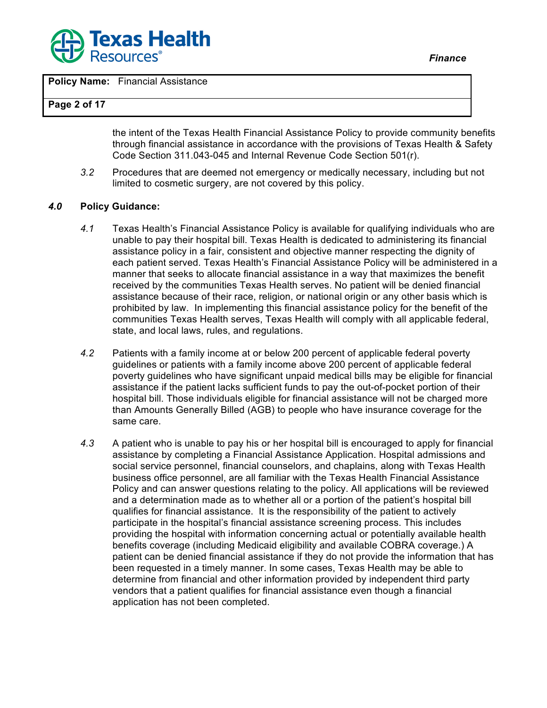

**Policy Name:** Financial Assistance

#### **Page 2 of 17**

the intent of the Texas Health Financial Assistance Policy to provide community benefits through financial assistance in accordance with the provisions of Texas Health & Safety Code Section 311.043-045 and Internal Revenue Code Section 501(r).

*3.2* Procedures that are deemed not emergency or medically necessary, including but not limited to cosmetic surgery, are not covered by this policy.

#### *4.0* **Policy Guidance:**

- *4.1* Texas Health's Financial Assistance Policy is available for qualifying individuals who are unable to pay their hospital bill. Texas Health is dedicated to administering its financial assistance policy in a fair, consistent and objective manner respecting the dignity of each patient served. Texas Health's Financial Assistance Policy will be administered in a manner that seeks to allocate financial assistance in a way that maximizes the benefit received by the communities Texas Health serves. No patient will be denied financial assistance because of their race, religion, or national origin or any other basis which is prohibited by law. In implementing this financial assistance policy for the benefit of the communities Texas Health serves, Texas Health will comply with all applicable federal, state, and local laws, rules, and regulations.
- *4.2* Patients with a family income at or below 200 percent of applicable federal poverty guidelines or patients with a family income above 200 percent of applicable federal poverty guidelines who have significant unpaid medical bills may be eligible for financial assistance if the patient lacks sufficient funds to pay the out-of-pocket portion of their hospital bill. Those individuals eligible for financial assistance will not be charged more than Amounts Generally Billed (AGB) to people who have insurance coverage for the same care.
- *4.3* A patient who is unable to pay his or her hospital bill is encouraged to apply for financial assistance by completing a Financial Assistance Application. Hospital admissions and social service personnel, financial counselors, and chaplains, along with Texas Health business office personnel, are all familiar with the Texas Health Financial Assistance Policy and can answer questions relating to the policy. All applications will be reviewed and a determination made as to whether all or a portion of the patient's hospital bill qualifies for financial assistance. It is the responsibility of the patient to actively participate in the hospital's financial assistance screening process. This includes providing the hospital with information concerning actual or potentially available health benefits coverage (including Medicaid eligibility and available COBRA coverage.) A patient can be denied financial assistance if they do not provide the information that has been requested in a timely manner. In some cases, Texas Health may be able to determine from financial and other information provided by independent third party vendors that a patient qualifies for financial assistance even though a financial application has not been completed.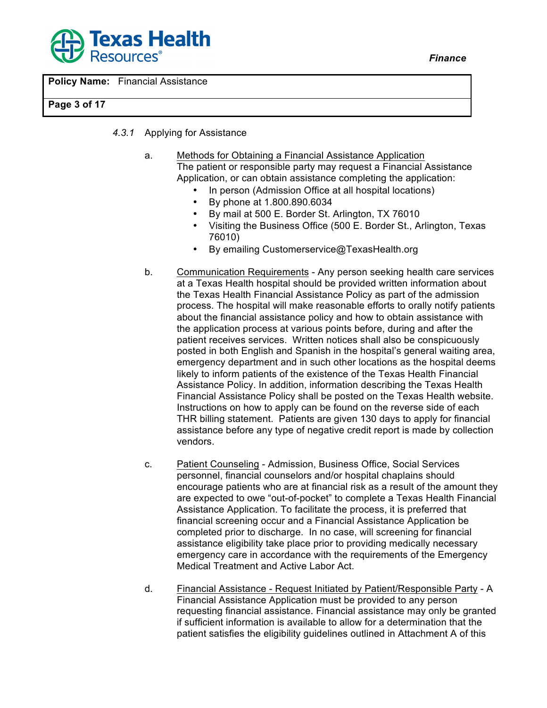



#### **Page 3 of 17**

- *4.3.1* Applying for Assistance
	- a. Methods for Obtaining a Financial Assistance Application The patient or responsible party may request a Financial Assistance Application, or can obtain assistance completing the application:
		- In person (Admission Office at all hospital locations)
		- By phone at 1.800.890.6034
		- By mail at 500 E. Border St. Arlington, TX 76010
		- Visiting the Business Office (500 E. Border St., Arlington, Texas 76010)
		- By emailing Customerservice@TexasHealth.org
	- b. Communication Requirements Any person seeking health care services at a Texas Health hospital should be provided written information about the Texas Health Financial Assistance Policy as part of the admission process. The hospital will make reasonable efforts to orally notify patients about the financial assistance policy and how to obtain assistance with the application process at various points before, during and after the patient receives services. Written notices shall also be conspicuously posted in both English and Spanish in the hospital's general waiting area, emergency department and in such other locations as the hospital deems likely to inform patients of the existence of the Texas Health Financial Assistance Policy. In addition, information describing the Texas Health Financial Assistance Policy shall be posted on the Texas Health website. Instructions on how to apply can be found on the reverse side of each THR billing statement. Patients are given 130 days to apply for financial assistance before any type of negative credit report is made by collection vendors.
	- c. Patient Counseling Admission, Business Office, Social Services personnel, financial counselors and/or hospital chaplains should encourage patients who are at financial risk as a result of the amount they are expected to owe "out-of-pocket" to complete a Texas Health Financial Assistance Application. To facilitate the process, it is preferred that financial screening occur and a Financial Assistance Application be completed prior to discharge. In no case, will screening for financial assistance eligibility take place prior to providing medically necessary emergency care in accordance with the requirements of the Emergency Medical Treatment and Active Labor Act.
	- d. Financial Assistance Request Initiated by Patient/Responsible Party A Financial Assistance Application must be provided to any person requesting financial assistance. Financial assistance may only be granted if sufficient information is available to allow for a determination that the patient satisfies the eligibility guidelines outlined in Attachment A of this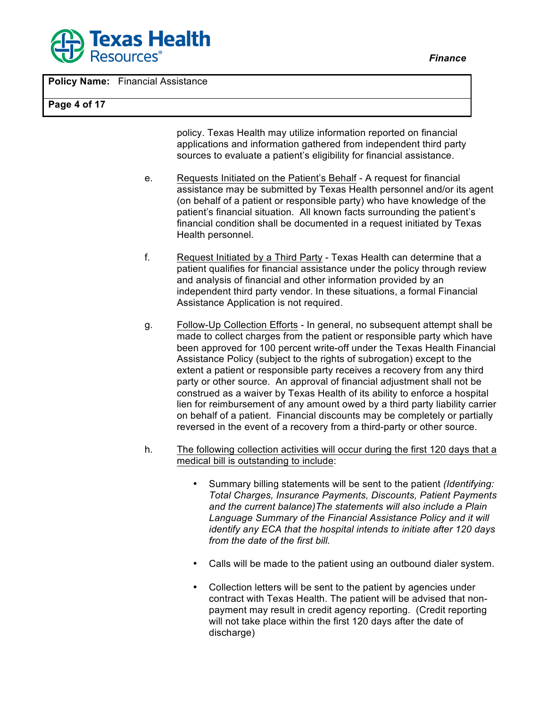

**Policy Name:** Financial Assistance

#### **Page 4 of 17**

policy. Texas Health may utilize information reported on financial applications and information gathered from independent third party sources to evaluate a patient's eligibility for financial assistance.

- e. Requests Initiated on the Patient's Behalf A request for financial assistance may be submitted by Texas Health personnel and/or its agent (on behalf of a patient or responsible party) who have knowledge of the patient's financial situation. All known facts surrounding the patient's financial condition shall be documented in a request initiated by Texas Health personnel.
- f. Request Initiated by a Third Party Texas Health can determine that a patient qualifies for financial assistance under the policy through review and analysis of financial and other information provided by an independent third party vendor. In these situations, a formal Financial Assistance Application is not required.
- g. Follow-Up Collection Efforts In general, no subsequent attempt shall be made to collect charges from the patient or responsible party which have been approved for 100 percent write-off under the Texas Health Financial Assistance Policy (subject to the rights of subrogation) except to the extent a patient or responsible party receives a recovery from any third party or other source. An approval of financial adjustment shall not be construed as a waiver by Texas Health of its ability to enforce a hospital lien for reimbursement of any amount owed by a third party liability carrier on behalf of a patient. Financial discounts may be completely or partially reversed in the event of a recovery from a third-party or other source.
- h. The following collection activities will occur during the first 120 days that a medical bill is outstanding to include:
	- Summary billing statements will be sent to the patient *(Identifying: Total Charges, Insurance Payments, Discounts, Patient Payments and the current balance)The statements will also include a Plain Language Summary of the Financial Assistance Policy and it will identify any ECA that the hospital intends to initiate after 120 days from the date of the first bill.*
	- Calls will be made to the patient using an outbound dialer system.
	- Collection letters will be sent to the patient by agencies under contract with Texas Health. The patient will be advised that nonpayment may result in credit agency reporting. (Credit reporting will not take place within the first 120 days after the date of discharge)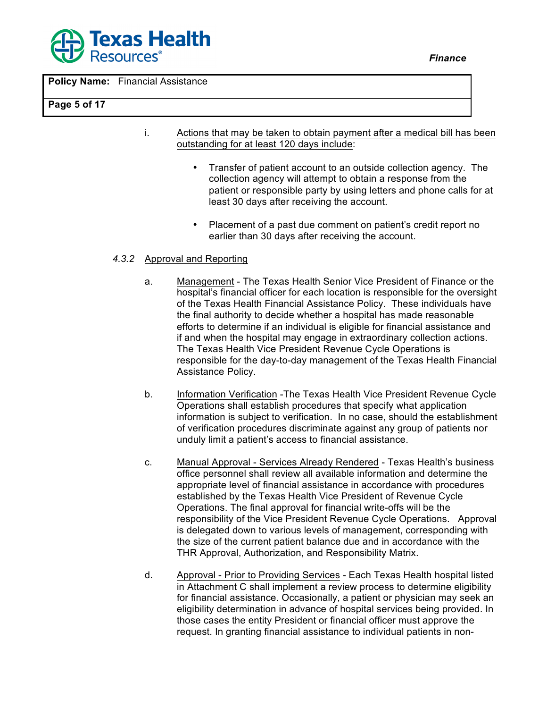

**Policy Name:** Financial Assistance

#### **Page 5 of 17**

- i. Actions that may be taken to obtain payment after a medical bill has been outstanding for at least 120 days include:
	- Transfer of patient account to an outside collection agency. The collection agency will attempt to obtain a response from the patient or responsible party by using letters and phone calls for at least 30 days after receiving the account.
	- Placement of a past due comment on patient's credit report no earlier than 30 days after receiving the account.

## *4.3.2* Approval and Reporting

- a. Management The Texas Health Senior Vice President of Finance or the hospital's financial officer for each location is responsible for the oversight of the Texas Health Financial Assistance Policy. These individuals have the final authority to decide whether a hospital has made reasonable efforts to determine if an individual is eligible for financial assistance and if and when the hospital may engage in extraordinary collection actions. The Texas Health Vice President Revenue Cycle Operations is responsible for the day-to-day management of the Texas Health Financial Assistance Policy.
- b. Information Verification -The Texas Health Vice President Revenue Cycle Operations shall establish procedures that specify what application information is subject to verification. In no case, should the establishment of verification procedures discriminate against any group of patients nor unduly limit a patient's access to financial assistance.
- c. Manual Approval Services Already Rendered Texas Health's business office personnel shall review all available information and determine the appropriate level of financial assistance in accordance with procedures established by the Texas Health Vice President of Revenue Cycle Operations. The final approval for financial write-offs will be the responsibility of the Vice President Revenue Cycle Operations. Approval is delegated down to various levels of management, corresponding with the size of the current patient balance due and in accordance with the THR Approval, Authorization, and Responsibility Matrix.
- d. Approval Prior to Providing Services Each Texas Health hospital listed in Attachment C shall implement a review process to determine eligibility for financial assistance. Occasionally, a patient or physician may seek an eligibility determination in advance of hospital services being provided. In those cases the entity President or financial officer must approve the request. In granting financial assistance to individual patients in non-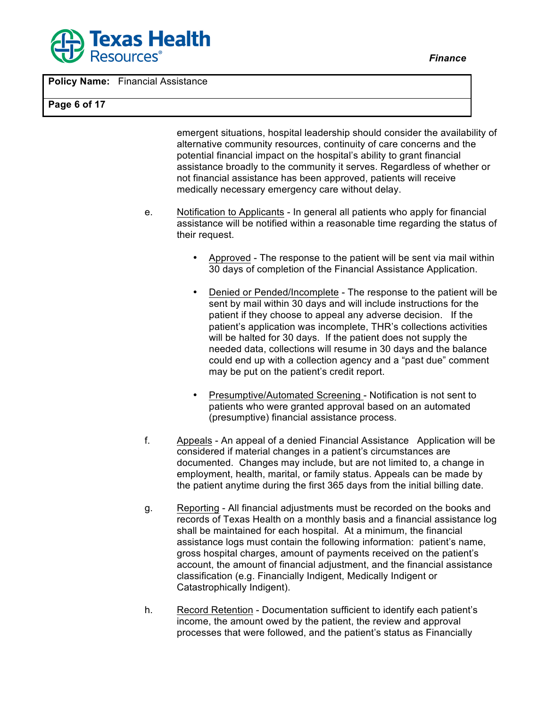

**Policy Name:** Financial Assistance

**Page 6 of 17**

emergent situations, hospital leadership should consider the availability of alternative community resources, continuity of care concerns and the potential financial impact on the hospital's ability to grant financial assistance broadly to the community it serves. Regardless of whether or not financial assistance has been approved, patients will receive medically necessary emergency care without delay.

- e. Notification to Applicants In general all patients who apply for financial assistance will be notified within a reasonable time regarding the status of their request.
	- Approved The response to the patient will be sent via mail within 30 days of completion of the Financial Assistance Application.
	- Denied or Pended/Incomplete The response to the patient will be sent by mail within 30 days and will include instructions for the patient if they choose to appeal any adverse decision. If the patient's application was incomplete, THR's collections activities will be halted for 30 days. If the patient does not supply the needed data, collections will resume in 30 days and the balance could end up with a collection agency and a "past due" comment may be put on the patient's credit report.
	- Presumptive/Automated Screening Notification is not sent to patients who were granted approval based on an automated (presumptive) financial assistance process.
- f. Appeals An appeal of a denied Financial Assistance Application will be considered if material changes in a patient's circumstances are documented. Changes may include, but are not limited to, a change in employment, health, marital, or family status. Appeals can be made by the patient anytime during the first 365 days from the initial billing date.
- g. Reporting All financial adjustments must be recorded on the books and records of Texas Health on a monthly basis and a financial assistance log shall be maintained for each hospital. At a minimum, the financial assistance logs must contain the following information: patient's name, gross hospital charges, amount of payments received on the patient's account, the amount of financial adjustment, and the financial assistance classification (e.g. Financially Indigent, Medically Indigent or Catastrophically Indigent).
- h. Record Retention Documentation sufficient to identify each patient's income, the amount owed by the patient, the review and approval processes that were followed, and the patient's status as Financially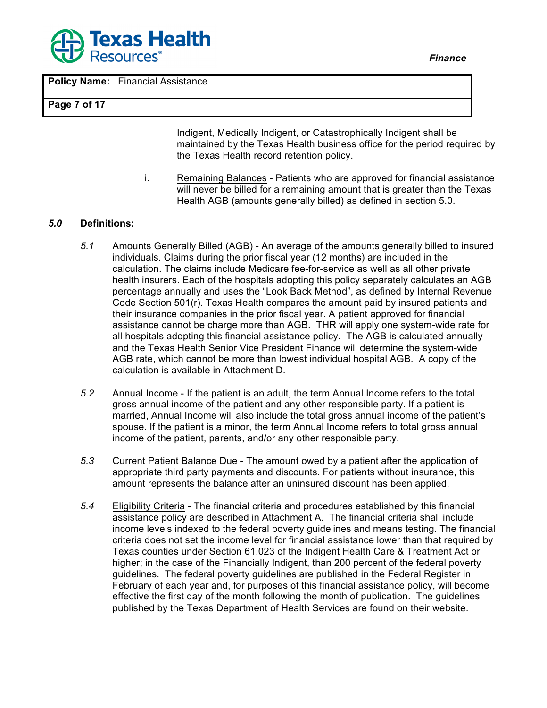

**Policy Name:** Financial Assistance

#### **Page 7 of 17**

Indigent, Medically Indigent, or Catastrophically Indigent shall be maintained by the Texas Health business office for the period required by the Texas Health record retention policy.

i. Remaining Balances - Patients who are approved for financial assistance will never be billed for a remaining amount that is greater than the Texas Health AGB (amounts generally billed) as defined in section 5.0.

#### *5.0* **Definitions:**

- *5.1* Amounts Generally Billed (AGB) An average of the amounts generally billed to insured individuals. Claims during the prior fiscal year (12 months) are included in the calculation. The claims include Medicare fee-for-service as well as all other private health insurers. Each of the hospitals adopting this policy separately calculates an AGB percentage annually and uses the "Look Back Method", as defined by Internal Revenue Code Section 501(r). Texas Health compares the amount paid by insured patients and their insurance companies in the prior fiscal year. A patient approved for financial assistance cannot be charge more than AGB. THR will apply one system-wide rate for all hospitals adopting this financial assistance policy. The AGB is calculated annually and the Texas Health Senior Vice President Finance will determine the system-wide AGB rate, which cannot be more than lowest individual hospital AGB. A copy of the calculation is available in Attachment D.
- *5.2* Annual Income If the patient is an adult, the term Annual Income refers to the total gross annual income of the patient and any other responsible party. If a patient is married, Annual Income will also include the total gross annual income of the patient's spouse. If the patient is a minor, the term Annual Income refers to total gross annual income of the patient, parents, and/or any other responsible party.
- *5.3* Current Patient Balance Due The amount owed by a patient after the application of appropriate third party payments and discounts. For patients without insurance, this amount represents the balance after an uninsured discount has been applied.
- *5.4* Eligibility Criteria The financial criteria and procedures established by this financial assistance policy are described in Attachment A. The financial criteria shall include income levels indexed to the federal poverty guidelines and means testing. The financial criteria does not set the income level for financial assistance lower than that required by Texas counties under Section 61.023 of the Indigent Health Care & Treatment Act or higher; in the case of the Financially Indigent, than 200 percent of the federal poverty guidelines. The federal poverty guidelines are published in the Federal Register in February of each year and, for purposes of this financial assistance policy, will become effective the first day of the month following the month of publication. The guidelines published by the Texas Department of Health Services are found on their website.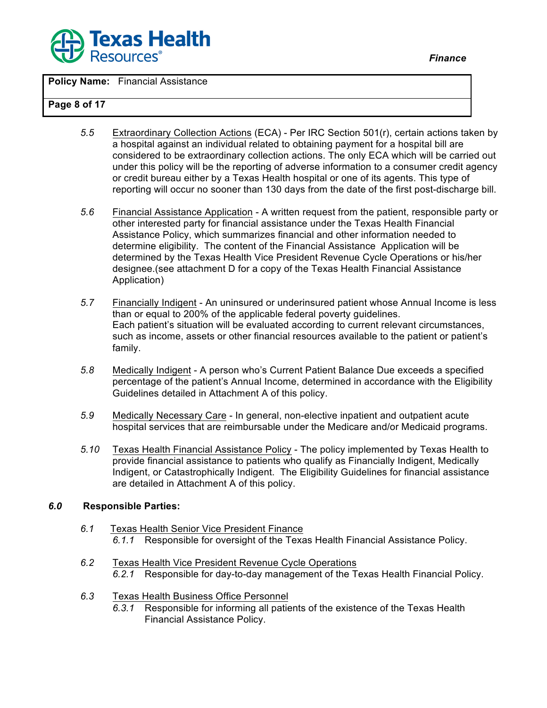

**Policy Name:** Financial Assistance

#### **Page 8 of 17**

- *5.5* Extraordinary Collection Actions (ECA) Per IRC Section 501(r), certain actions taken by a hospital against an individual related to obtaining payment for a hospital bill are considered to be extraordinary collection actions. The only ECA which will be carried out under this policy will be the reporting of adverse information to a consumer credit agency or credit bureau either by a Texas Health hospital or one of its agents. This type of reporting will occur no sooner than 130 days from the date of the first post-discharge bill.
- *5.6* Financial Assistance Application A written request from the patient, responsible party or other interested party for financial assistance under the Texas Health Financial Assistance Policy, which summarizes financial and other information needed to determine eligibility. The content of the Financial Assistance Application will be determined by the Texas Health Vice President Revenue Cycle Operations or his/her designee.(see attachment D for a copy of the Texas Health Financial Assistance Application)
- *5.7* Financially Indigent An uninsured or underinsured patient whose Annual Income is less than or equal to 200% of the applicable federal poverty guidelines. Each patient's situation will be evaluated according to current relevant circumstances, such as income, assets or other financial resources available to the patient or patient's family.
- *5.8* Medically Indigent A person who's Current Patient Balance Due exceeds a specified percentage of the patient's Annual Income, determined in accordance with the Eligibility Guidelines detailed in Attachment A of this policy.
- *5.9* Medically Necessary Care In general, non-elective inpatient and outpatient acute hospital services that are reimbursable under the Medicare and/or Medicaid programs.
- *5.10* Texas Health Financial Assistance Policy The policy implemented by Texas Health to provide financial assistance to patients who qualify as Financially Indigent, Medically Indigent, or Catastrophically Indigent. The Eligibility Guidelines for financial assistance are detailed in Attachment A of this policy.

#### *6.0* **Responsible Parties:**

- *6.1* Texas Health Senior Vice President Finance *6.1.1* Responsible for oversight of the Texas Health Financial Assistance Policy.
- *6.2* Texas Health Vice President Revenue Cycle Operations *6.2.1* Responsible for day-to-day management of the Texas Health Financial Policy.
- *6.3* Texas Health Business Office Personnel
	- *6.3.1* Responsible for informing all patients of the existence of the Texas Health Financial Assistance Policy.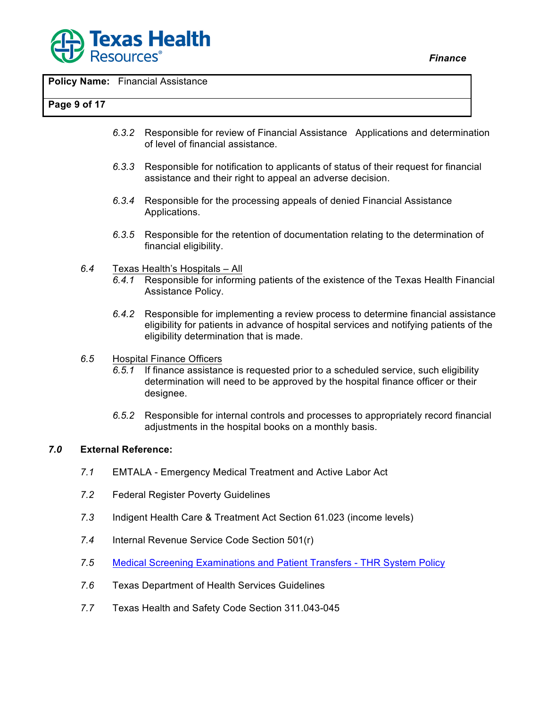

**Policy Name:** Financial Assistance

#### **Page 9 of 17**

- *6.3.2* Responsible for review of Financial Assistance Applications and determination of level of financial assistance.
- *6.3.3* Responsible for notification to applicants of status of their request for financial assistance and their right to appeal an adverse decision.
- *6.3.4* Responsible for the processing appeals of denied Financial Assistance Applications.
- *6.3.5* Responsible for the retention of documentation relating to the determination of financial eligibility.
- *6.4* Texas Health's Hospitals All
	- *6.4.1* Responsible for informing patients of the existence of the Texas Health Financial Assistance Policy.
	- *6.4.2* Responsible for implementing a review process to determine financial assistance eligibility for patients in advance of hospital services and notifying patients of the eligibility determination that is made.
- *6.5* Hospital Finance Officers
	- *6.5.1* If finance assistance is requested prior to a scheduled service, such eligibility determination will need to be approved by the hospital finance officer or their designee.
	- *6.5.2* Responsible for internal controls and processes to appropriately record financial adjustments in the hospital books on a monthly basis.

## *7.0* **External Reference:**

- *7.1* EMTALA Emergency Medical Treatment and Active Labor Act
- *7.2* Federal Register Poverty Guidelines
- *7.3* Indigent Health Care & Treatment Act Section 61.023 (income levels)
- *7.4* Internal Revenue Service Code Section 501(r)
- *7.5* Medical Screening Examinations and Patient Transfers THR System Policy
- *7.6* Texas Department of Health Services Guidelines
- *7.7* Texas Health and Safety Code Section 311.043-045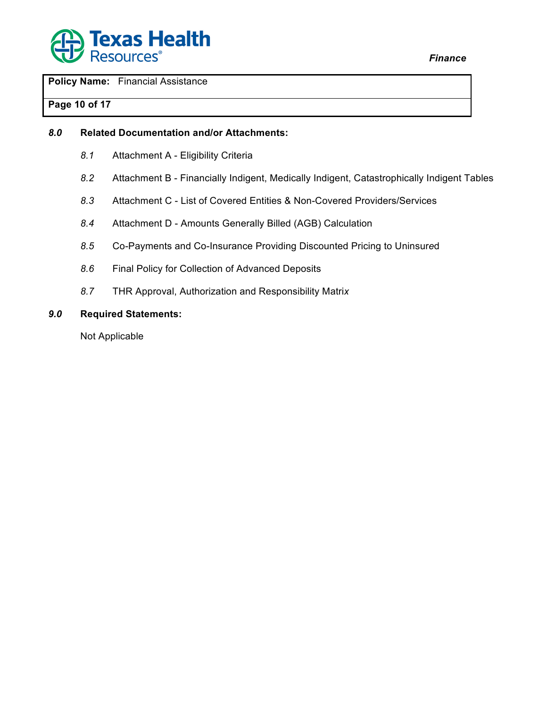

**Policy Name:** Financial Assistance

# **Page 10 of 17**

## *8.0* **Related Documentation and/or Attachments:**

- *8.1* Attachment A Eligibility Criteria
- *8.2* Attachment B Financially Indigent, Medically Indigent, Catastrophically Indigent Tables
- *8.3* Attachment C List of Covered Entities & Non-Covered Providers/Services
- *8.4* Attachment D Amounts Generally Billed (AGB) Calculation
- *8.5* Co-Payments and Co-Insurance Providing Discounted Pricing to Uninsur*e*d
- *8.6* Final Policy for Collection of Advanced Deposits
- *8.7* THR Approval, Authorization and Responsibility Matri*x*

#### *9.0* **Required Statements:**

Not Applicable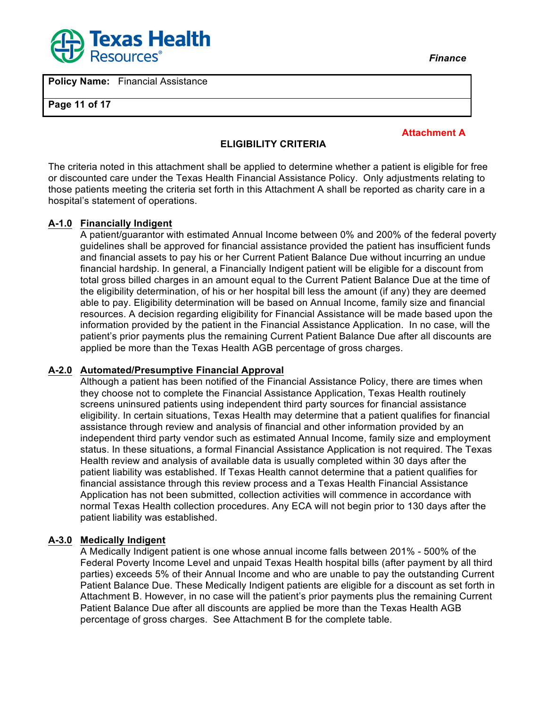

**Policy Name:** Financial Assistance

**Page 11 of 17**

**Attachment A**

#### **ELIGIBILITY CRITERIA**

The criteria noted in this attachment shall be applied to determine whether a patient is eligible for free or discounted care under the Texas Health Financial Assistance Policy. Only adjustments relating to those patients meeting the criteria set forth in this Attachment A shall be reported as charity care in a hospital's statement of operations.

#### **A-1.0 Financially Indigent**

A patient/guarantor with estimated Annual Income between 0% and 200% of the federal poverty guidelines shall be approved for financial assistance provided the patient has insufficient funds and financial assets to pay his or her Current Patient Balance Due without incurring an undue financial hardship. In general, a Financially Indigent patient will be eligible for a discount from total gross billed charges in an amount equal to the Current Patient Balance Due at the time of the eligibility determination, of his or her hospital bill less the amount (if any) they are deemed able to pay. Eligibility determination will be based on Annual Income, family size and financial resources. A decision regarding eligibility for Financial Assistance will be made based upon the information provided by the patient in the Financial Assistance Application. In no case, will the patient's prior payments plus the remaining Current Patient Balance Due after all discounts are applied be more than the Texas Health AGB percentage of gross charges.

#### **A-2.0 Automated/Presumptive Financial Approval**

Although a patient has been notified of the Financial Assistance Policy, there are times when they choose not to complete the Financial Assistance Application, Texas Health routinely screens uninsured patients using independent third party sources for financial assistance eligibility. In certain situations, Texas Health may determine that a patient qualifies for financial assistance through review and analysis of financial and other information provided by an independent third party vendor such as estimated Annual Income, family size and employment status. In these situations, a formal Financial Assistance Application is not required. The Texas Health review and analysis of available data is usually completed within 30 days after the patient liability was established. If Texas Health cannot determine that a patient qualifies for financial assistance through this review process and a Texas Health Financial Assistance Application has not been submitted, collection activities will commence in accordance with normal Texas Health collection procedures. Any ECA will not begin prior to 130 days after the patient liability was established.

#### **A-3.0 Medically Indigent**

A Medically Indigent patient is one whose annual income falls between 201% - 500% of the Federal Poverty Income Level and unpaid Texas Health hospital bills (after payment by all third parties) exceeds 5% of their Annual Income and who are unable to pay the outstanding Current Patient Balance Due. These Medically Indigent patients are eligible for a discount as set forth in Attachment B. However, in no case will the patient's prior payments plus the remaining Current Patient Balance Due after all discounts are applied be more than the Texas Health AGB percentage of gross charges. See Attachment B for the complete table.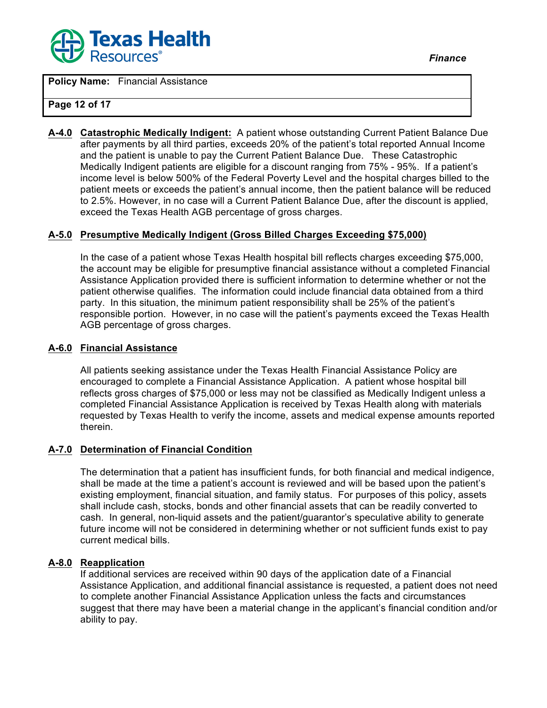

**Policy Name:** Financial Assistance

#### **Page 12 of 17**

**A-4.0 Catastrophic Medically Indigent:** A patient whose outstanding Current Patient Balance Due after payments by all third parties, exceeds 20% of the patient's total reported Annual Income and the patient is unable to pay the Current Patient Balance Due. These Catastrophic Medically Indigent patients are eligible for a discount ranging from 75% - 95%. If a patient's income level is below 500% of the Federal Poverty Level and the hospital charges billed to the patient meets or exceeds the patient's annual income, then the patient balance will be reduced to 2.5%. However, in no case will a Current Patient Balance Due, after the discount is applied, exceed the Texas Health AGB percentage of gross charges.

#### **A-5.0 Presumptive Medically Indigent (Gross Billed Charges Exceeding \$75,000)**

In the case of a patient whose Texas Health hospital bill reflects charges exceeding \$75,000, the account may be eligible for presumptive financial assistance without a completed Financial Assistance Application provided there is sufficient information to determine whether or not the patient otherwise qualifies. The information could include financial data obtained from a third party. In this situation, the minimum patient responsibility shall be 25% of the patient's responsible portion. However, in no case will the patient's payments exceed the Texas Health AGB percentage of gross charges.

#### **A-6.0 Financial Assistance**

All patients seeking assistance under the Texas Health Financial Assistance Policy are encouraged to complete a Financial Assistance Application. A patient whose hospital bill reflects gross charges of \$75,000 or less may not be classified as Medically Indigent unless a completed Financial Assistance Application is received by Texas Health along with materials requested by Texas Health to verify the income, assets and medical expense amounts reported therein.

#### **A-7.0 Determination of Financial Condition**

The determination that a patient has insufficient funds, for both financial and medical indigence, shall be made at the time a patient's account is reviewed and will be based upon the patient's existing employment, financial situation, and family status. For purposes of this policy, assets shall include cash, stocks, bonds and other financial assets that can be readily converted to cash. In general, non-liquid assets and the patient/guarantor's speculative ability to generate future income will not be considered in determining whether or not sufficient funds exist to pay current medical bills.

#### **A-8.0 Reapplication**

If additional services are received within 90 days of the application date of a Financial Assistance Application, and additional financial assistance is requested, a patient does not need to complete another Financial Assistance Application unless the facts and circumstances suggest that there may have been a material change in the applicant's financial condition and/or ability to pay.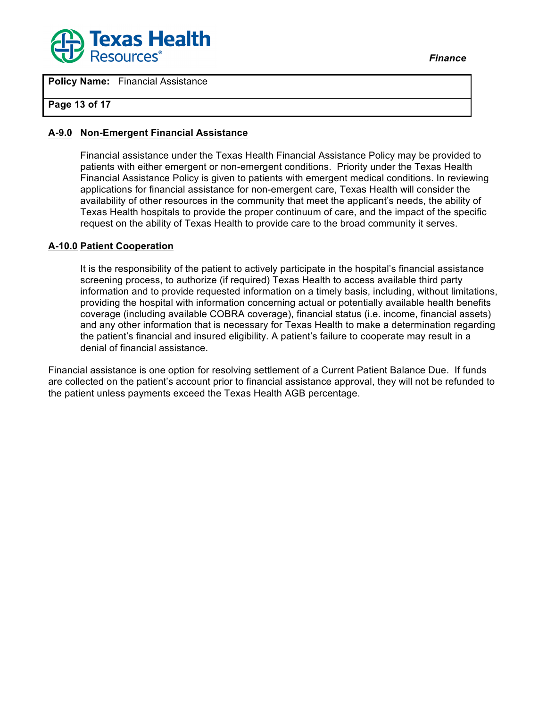

## **Page 13 of 17**

#### **A-9.0 Non-Emergent Financial Assistance**

Financial assistance under the Texas Health Financial Assistance Policy may be provided to patients with either emergent or non-emergent conditions. Priority under the Texas Health Financial Assistance Policy is given to patients with emergent medical conditions. In reviewing applications for financial assistance for non-emergent care, Texas Health will consider the availability of other resources in the community that meet the applicant's needs, the ability of Texas Health hospitals to provide the proper continuum of care, and the impact of the specific request on the ability of Texas Health to provide care to the broad community it serves.

#### **A-10.0 Patient Cooperation**

It is the responsibility of the patient to actively participate in the hospital's financial assistance screening process, to authorize (if required) Texas Health to access available third party information and to provide requested information on a timely basis, including, without limitations, providing the hospital with information concerning actual or potentially available health benefits coverage (including available COBRA coverage), financial status (i.e. income, financial assets) and any other information that is necessary for Texas Health to make a determination regarding the patient's financial and insured eligibility. A patient's failure to cooperate may result in a denial of financial assistance.

Financial assistance is one option for resolving settlement of a Current Patient Balance Due. If funds are collected on the patient's account prior to financial assistance approval, they will not be refunded to the patient unless payments exceed the Texas Health AGB percentage.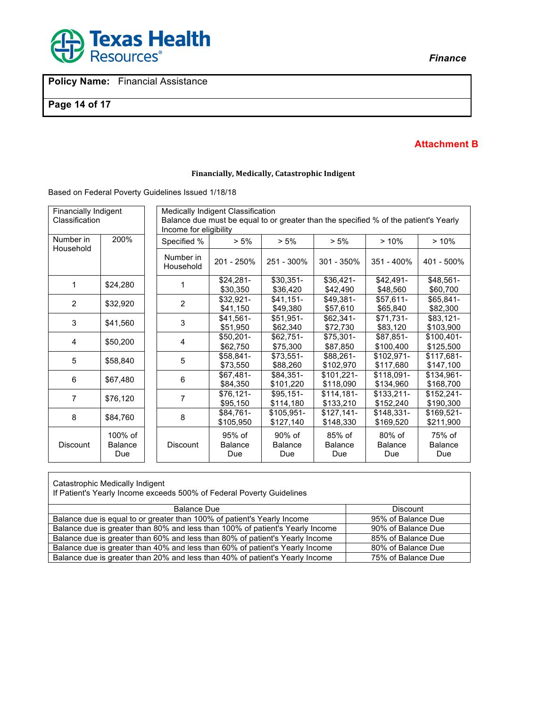

**Page 14 of 17**

# *Finance*

#### **Attachment B**

#### **Financially, Medically, Catastrophic Indigent**

Based on Federal Poverty Guidelines Issued 1/18/18

| Financially Indigent<br>Classification |                                  |                        | <b>Medically Indigent Classification</b><br>Balance due must be equal to or greater than the specified % of the patient's Yearly<br>Income for eligibility |                                 |                                 |                                 |                                 |  |  |
|----------------------------------------|----------------------------------|------------------------|------------------------------------------------------------------------------------------------------------------------------------------------------------|---------------------------------|---------------------------------|---------------------------------|---------------------------------|--|--|
| Number in<br>Household                 | 200%                             | Specified %            | $> 5\%$                                                                                                                                                    | $> 5\%$                         | $> 5\%$                         | >10%                            | >10%                            |  |  |
|                                        |                                  | Number in<br>Household | 201 - 250%                                                                                                                                                 | 251 - 300%                      | $301 - 350\%$                   | 351 - 400%                      | 401 - 500%                      |  |  |
| 1                                      | \$24,280                         |                        | $$24,281-$<br>\$30,350                                                                                                                                     | $$30,351-$<br>\$36,420          | $$36,421-$<br>\$42,490          | $$42,491-$<br>\$48,560          | $$48,561-$<br>\$60,700          |  |  |
| $\overline{2}$                         | \$32,920                         | $\overline{2}$         | \$32,921-<br>\$41,150                                                                                                                                      | $$41,151-$<br>\$49,380          | \$49,381-<br>\$57,610           | $$57,611-$<br>\$65,840          | $$65,841-$<br>\$82,300          |  |  |
| 3                                      | \$41,560                         | 3                      | \$41,561-<br>\$51,950                                                                                                                                      | $$51,951-$<br>\$62,340          | $$62,341-$<br>\$72,730          | $$71,731-$<br>\$83,120          | \$83,121-<br>\$103,900          |  |  |
| 4                                      | \$50,200                         | 4                      | $$50,201-$<br>\$62,750                                                                                                                                     | $$62,751-$<br>\$75,300          | \$75,301-<br>\$87,850           | \$87.851-<br>\$100,400          | $$100,401-$<br>\$125,500        |  |  |
| 5                                      | \$58,840                         | 5                      | \$58,841-<br>\$73,550                                                                                                                                      | $$73.551-$<br>\$88,260          | \$88.261-<br>\$102,970          | \$102.971-<br>\$117,680         | $$117.681-$<br>\$147,100        |  |  |
| 6                                      | \$67,480                         | 6                      | \$67,481-<br>\$84,350                                                                                                                                      | \$84,351-<br>\$101,220          | $$101.221-$<br>\$118,090        | $$118.091-$<br>\$134,960        | \$134,961-<br>\$168,700         |  |  |
| 7                                      | \$76,120                         | 7                      | \$76,121-<br>\$95,150                                                                                                                                      | $$95,151-$<br>\$114,180         | $$114,181-$<br>\$133,210        | $$133,211-$<br>\$152,240        | $$152,241-$<br>\$190,300        |  |  |
| 8                                      | \$84,760                         | 8                      | \$84,761-<br>\$105,950                                                                                                                                     | \$105,951-<br>\$127,140         | $$127,141-$<br>\$148,330        | $$148,331-$<br>\$169,520        | $$169,521-$<br>\$211,900        |  |  |
| <b>Discount</b>                        | 100% of<br><b>Balance</b><br>Due | Discount               | 95% of<br><b>Balance</b><br>Due                                                                                                                            | 90% of<br><b>Balance</b><br>Due | 85% of<br><b>Balance</b><br>Due | 80% of<br><b>Balance</b><br>Due | 75% of<br><b>Balance</b><br>Due |  |  |

Catastrophic Medically Indigent

If Patient's Yearly Income exceeds 500% of Federal Poverty Guidelines

| Discount           |
|--------------------|
| 95% of Balance Due |
| 90% of Balance Due |
| 85% of Balance Due |
| 80% of Balance Due |
| 75% of Balance Due |
|                    |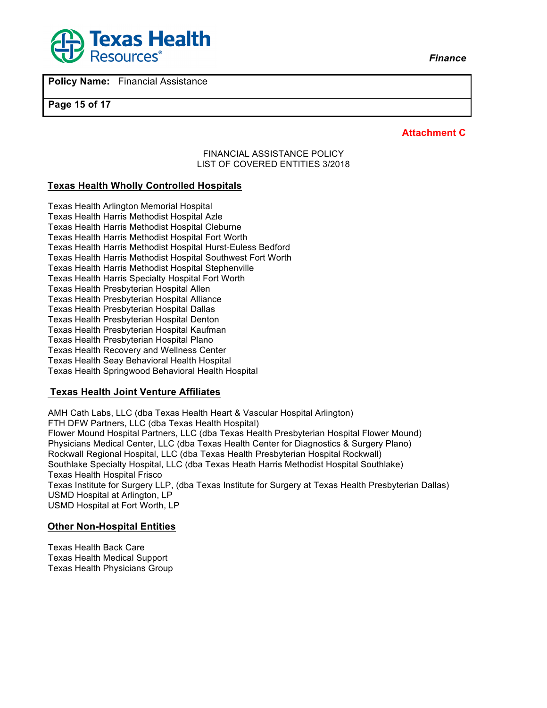



**Page 15 of 17**

**Attachment C**

#### FINANCIAL ASSISTANCE POLICY LIST OF COVERED ENTITIES 3/2018

## **Texas Health Wholly Controlled Hospitals**

Texas Health Arlington Memorial Hospital Texas Health Harris Methodist Hospital Azle Texas Health Harris Methodist Hospital Cleburne Texas Health Harris Methodist Hospital Fort Worth Texas Health Harris Methodist Hospital Hurst-Euless Bedford Texas Health Harris Methodist Hospital Southwest Fort Worth Texas Health Harris Methodist Hospital Stephenville Texas Health Harris Specialty Hospital Fort Worth Texas Health Presbyterian Hospital Allen Texas Health Presbyterian Hospital Alliance Texas Health Presbyterian Hospital Dallas Texas Health Presbyterian Hospital Denton Texas Health Presbyterian Hospital Kaufman Texas Health Presbyterian Hospital Plano Texas Health Recovery and Wellness Center Texas Health Seay Behavioral Health Hospital Texas Health Springwood Behavioral Health Hospital

#### **Texas Health Joint Venture Affiliates**

AMH Cath Labs, LLC (dba Texas Health Heart & Vascular Hospital Arlington) FTH DFW Partners, LLC (dba Texas Health Hospital) Flower Mound Hospital Partners, LLC (dba Texas Health Presbyterian Hospital Flower Mound) Physicians Medical Center, LLC (dba Texas Health Center for Diagnostics & Surgery Plano) Rockwall Regional Hospital, LLC (dba Texas Health Presbyterian Hospital Rockwall) Southlake Specialty Hospital, LLC (dba Texas Heath Harris Methodist Hospital Southlake) Texas Health Hospital Frisco Texas Institute for Surgery LLP, (dba Texas Institute for Surgery at Texas Health Presbyterian Dallas) USMD Hospital at Arlington, LP USMD Hospital at Fort Worth, LP

## **Other Non-Hospital Entities**

Texas Health Back Care Texas Health Medical Support Texas Health Physicians Group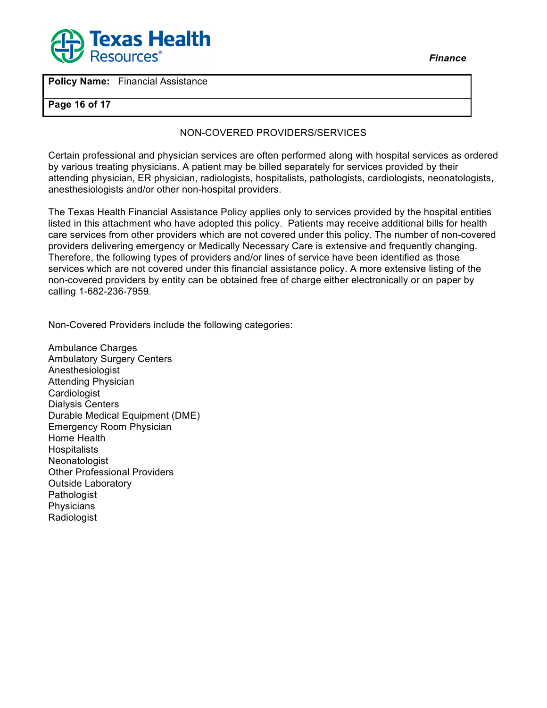

**Policy Name:** Financial Assistance

#### **Page 16 of 17**

# NON-COVERED PROVIDERS/SERVICES

Certain professional and physician services are often performed along with hospital services as ordered by various treating physicians. A patient may be billed separately for services provided by their attending physician, ER physician, radiologists, hospitalists, pathologists, cardiologists, neonatologists, anesthesiologists and/or other non-hospital providers.

The Texas Health Financial Assistance Policy applies only to services provided by the hospital entities listed in this attachment who have adopted this policy. Patients may receive additional bills for health care services from other providers which are not covered under this policy. The number of non-covered providers delivering emergency or Medically Necessary Care is extensive and frequently changing. Therefore, the following types of providers and/or lines of service have been identified as those services which are not covered under this financial assistance policy. A more extensive listing of the non-covered providers by entity can be obtained free of charge either electronically or on paper by calling 1-682-236-7959.

Non-Covered Providers include the following categories:

Ambulance Charges Ambulatory Surgery Centers **Anesthesiologist** Attending Physician **Cardiologist** Dialysis Centers Durable Medical Equipment (DME) Emergency Room Physician Home Health **Hospitalists Neonatologist** Other Professional Providers Outside Laboratory Pathologist **Physicians** Radiologist